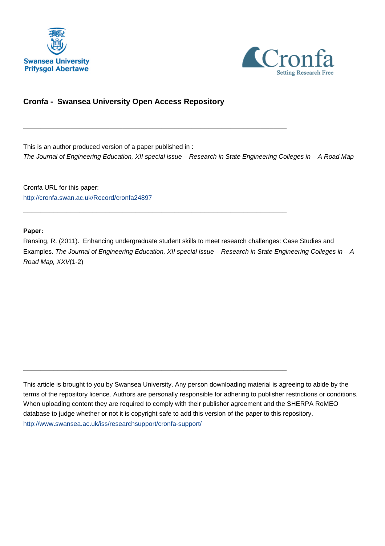



# **Cronfa - Swansea University Open Access Repository**

\_\_\_\_\_\_\_\_\_\_\_\_\_\_\_\_\_\_\_\_\_\_\_\_\_\_\_\_\_\_\_\_\_\_\_\_\_\_\_\_\_\_\_\_\_\_\_\_\_\_\_\_\_\_\_\_\_\_\_\_\_

 $\_$  , and the set of the set of the set of the set of the set of the set of the set of the set of the set of the set of the set of the set of the set of the set of the set of the set of the set of the set of the set of th

 $\_$  , and the set of the set of the set of the set of the set of the set of the set of the set of the set of the set of the set of the set of the set of the set of the set of the set of the set of the set of the set of th

This is an author produced version of a paper published in : The Journal of Engineering Education, XII special issue – Research in State Engineering Colleges in – A Road Map

Cronfa URL for this paper: <http://cronfa.swan.ac.uk/Record/cronfa24897>

#### **Paper:**

Ransing, R. (2011). Enhancing undergraduate student skills to meet research challenges: Case Studies and Examples. The Journal of Engineering Education, XII special issue – Research in State Engineering Colleges in – A Road Map, XXV(1-2)

This article is brought to you by Swansea University. Any person downloading material is agreeing to abide by the terms of the repository licence. Authors are personally responsible for adhering to publisher restrictions or conditions. When uploading content they are required to comply with their publisher agreement and the SHERPA RoMEO database to judge whether or not it is copyright safe to add this version of the paper to this repository. [http://www.swansea.ac.uk/iss/researchsupport/cronfa-support/](http://www.swansea.ac.uk/iss/researchsupport/cronfa-support/ )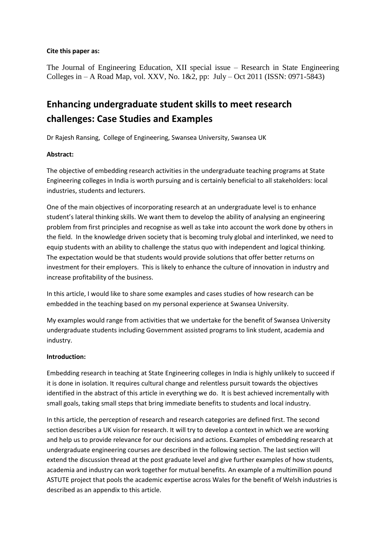### **Cite this paper as:**

The Journal of Engineering Education, XII special issue – Research in State Engineering Colleges in – A Road Map, vol. XXV, No. 1&2, pp: July – Oct 2011 (ISSN: 0971-5843)

# **Enhancing undergraduate student skills to meet research challenges: Case Studies and Examples**

Dr Rajesh Ransing, College of Engineering, Swansea University, Swansea UK

### **Abstract:**

The objective of embedding research activities in the undergraduate teaching programs at State Engineering colleges in India is worth pursuing and is certainly beneficial to all stakeholders: local industries, students and lecturers.

One of the main objectives of incorporating research at an undergraduate level is to enhance student's lateral thinking skills. We want them to develop the ability of analysing an engineering problem from first principles and recognise as well as take into account the work done by others in the field. In the knowledge driven society that is becoming truly global and interlinked, we need to equip students with an ability to challenge the status quo with independent and logical thinking. The expectation would be that students would provide solutions that offer better returns on investment for their employers. This is likely to enhance the culture of innovation in industry and increase profitability of the business.

In this article, I would like to share some examples and cases studies of how research can be embedded in the teaching based on my personal experience at Swansea University.

My examples would range from activities that we undertake for the benefit of Swansea University undergraduate students including Government assisted programs to link student, academia and industry.

### **Introduction:**

Embedding research in teaching at State Engineering colleges in India is highly unlikely to succeed if it is done in isolation. It requires cultural change and relentless pursuit towards the objectives identified in the abstract of this article in everything we do. It is best achieved incrementally with small goals, taking small steps that bring immediate benefits to students and local industry.

In this article, the perception of research and research categories are defined first. The second section describes a UK vision for research. It will try to develop a context in which we are working and help us to provide relevance for our decisions and actions. Examples of embedding research at undergraduate engineering courses are described in the following section. The last section will extend the discussion thread at the post graduate level and give further examples of how students, academia and industry can work together for mutual benefits. An example of a multimillion pound ASTUTE project that pools the academic expertise across Wales for the benefit of Welsh industries is described as an appendix to this article.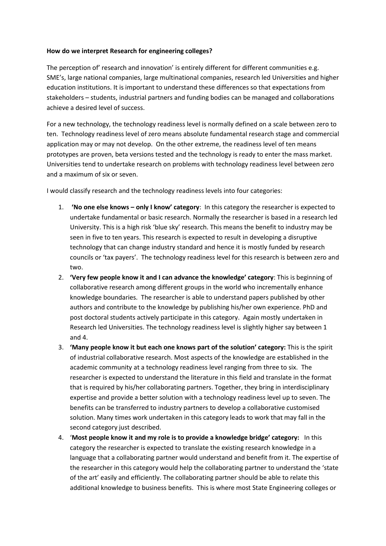### **How do we interpret Research for engineering colleges?**

The perception of' research and innovation' is entirely different for different communities e.g. SME's, large national companies, large multinational companies, research led Universities and higher education institutions. It is important to understand these differences so that expectations from stakeholders – students, industrial partners and funding bodies can be managed and collaborations achieve a desired level of success.

For a new technology, the technology readiness level is normally defined on a scale between zero to ten. Technology readiness level of zero means absolute fundamental research stage and commercial application may or may not develop. On the other extreme, the readiness level of ten means prototypes are proven, beta versions tested and the technology is ready to enter the mass market. Universities tend to undertake research on problems with technology readiness level between zero and a maximum of six or seven.

I would classify research and the technology readiness levels into four categories:

- 1. **'No one else knows – only I know' category**: In this category the researcher is expected to undertake fundamental or basic research. Normally the researcher is based in a research led University. This is a high risk 'blue sky' research. This means the benefit to industry may be seen in five to ten years. This research is expected to result in developing a disruptive technology that can change industry standard and hence it is mostly funded by research councils or 'tax payers'. The technology readiness level for this research is between zero and two.
- 2. **'Very few people know it and I can advance the knowledge' category**: This is beginning of collaborative research among different groups in the world who incrementally enhance knowledge boundaries. The researcher is able to understand papers published by other authors and contribute to the knowledge by publishing his/her own experience. PhD and post doctoral students actively participate in this category. Again mostly undertaken in Research led Universities. The technology readiness level is slightly higher say between 1 and 4.
- 3. **'Many people know it but each one knows part of the solution' category:** This is the spirit of industrial collaborative research. Most aspects of the knowledge are established in the academic community at a technology readiness level ranging from three to six. The researcher is expected to understand the literature in this field and translate in the format that is required by his/her collaborating partners. Together, they bring in interdisciplinary expertise and provide a better solution with a technology readiness level up to seven. The benefits can be transferred to industry partners to develop a collaborative customised solution. Many times work undertaken in this category leads to work that may fall in the second category just described.
- 4. '**Most people know it and my role is to provide a knowledge bridge' category:** In this category the researcher is expected to translate the existing research knowledge in a language that a collaborating partner would understand and benefit from it. The expertise of the researcher in this category would help the collaborating partner to understand the 'state of the art' easily and efficiently. The collaborating partner should be able to relate this additional knowledge to business benefits. This is where most State Engineering colleges or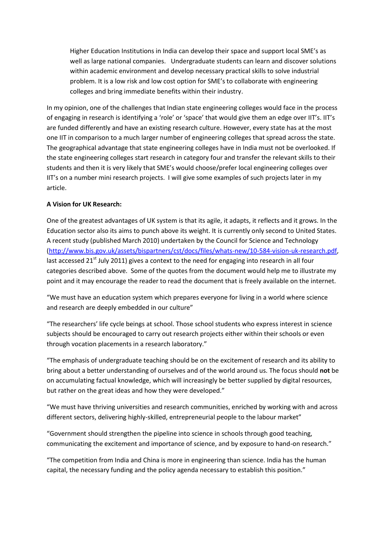Higher Education Institutions in India can develop their space and support local SME's as well as large national companies. Undergraduate students can learn and discover solutions within academic environment and develop necessary practical skills to solve industrial problem. It is a low risk and low cost option for SME's to collaborate with engineering colleges and bring immediate benefits within their industry.

In my opinion, one of the challenges that Indian state engineering colleges would face in the process of engaging in research is identifying a 'role' or 'space' that would give them an edge over IIT's. IIT's are funded differently and have an existing research culture. However, every state has at the most one IIT in comparison to a much larger number of engineering colleges that spread across the state. The geographical advantage that state engineering colleges have in India must not be overlooked. If the state engineering colleges start research in category four and transfer the relevant skills to their students and then it is very likely that SME's would choose/prefer local engineering colleges over IIT's on a number mini research projects. I will give some examples of such projects later in my article.

### **A Vision for UK Research:**

One of the greatest advantages of UK system is that its agile, it adapts, it reflects and it grows. In the Education sector also its aims to punch above its weight. It is currently only second to United States. A recent study (published March 2010) undertaken by the Council for Science and Technology (http://www.bis.gov.uk/assets/bispartners/cst/docs/files/whats-new/10-584-vision-uk-research.pdf, last accessed  $21<sup>st</sup>$  July 2011) gives a context to the need for engaging into research in all four categories described above. Some of the quotes from the document would help me to illustrate my point and it may encourage the reader to read the document that is freely available on the internet.

"We must have an education system which prepares everyone for living in a world where science and research are deeply embedded in our culture"

"The researchers' life cycle beings at school. Those school students who express interest in science subjects should be encouraged to carry out research projects either within their schools or even through vocation placements in a research laboratory."

"The emphasis of undergraduate teaching should be on the excitement of research and its ability to bring about a better understanding of ourselves and of the world around us. The focus should **not** be on accumulating factual knowledge, which will increasingly be better supplied by digital resources, but rather on the great ideas and how they were developed."

"We must have thriving universities and research communities, enriched by working with and across different sectors, delivering highly-skilled, entrepreneurial people to the labour market"

"Government should strengthen the pipeline into science in schools through good teaching, communicating the excitement and importance of science, and by exposure to hand-on research."

"The competition from India and China is more in engineering than science. India has the human capital, the necessary funding and the policy agenda necessary to establish this position."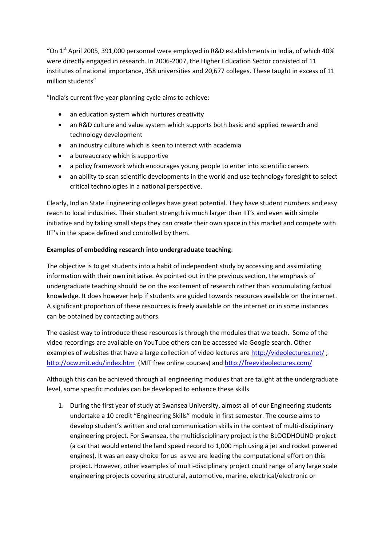"On  $1<sup>st</sup>$  April 2005, 391,000 personnel were employed in R&D establishments in India, of which 40% were directly engaged in research. In 2006-2007, the Higher Education Sector consisted of 11 institutes of national importance, 358 universities and 20,677 colleges. These taught in excess of 11 million students"

"India's current five year planning cycle aims to achieve:

- an education system which nurtures creativity
- an R&D culture and value system which supports both basic and applied research and technology development
- an industry culture which is keen to interact with academia
- a bureaucracy which is supportive
- a policy framework which encourages young people to enter into scientific careers
- an ability to scan scientific developments in the world and use technology foresight to select critical technologies in a national perspective.

Clearly, Indian State Engineering colleges have great potential. They have student numbers and easy reach to local industries. Their student strength is much larger than IIT's and even with simple initiative and by taking small steps they can create their own space in this market and compete with IIT's in the space defined and controlled by them.

### **Examples of embedding research into undergraduate teaching**:

The objective is to get students into a habit of independent study by accessing and assimilating information with their own initiative. As pointed out in the previous section, the emphasis of undergraduate teaching should be on the excitement of research rather than accumulating factual knowledge. It does however help if students are guided towards resources available on the internet. A significant proportion of these resources is freely available on the internet or in some instances can be obtained by contacting authors.

The easiest way to introduce these resources is through the modules that we teach. Some of the video recordings are available on YouTube others can be accessed via Google search. Other examples of websites that have a large collection of video lectures are http://videolectures.net/; http://ocw.mit.edu/index.htm (MIT free online courses) and http://freevideolectures.com/

Although this can be achieved through all engineering modules that are taught at the undergraduate level, some specific modules can be developed to enhance these skills

1. During the first year of study at Swansea University, almost all of our Engineering students undertake a 10 credit "Engineering Skills" module in first semester. The course aims to develop student's written and oral communication skills in the context of multi-disciplinary engineering project. For Swansea, the multidisciplinary project is the BLOODHOUND project (a car that would extend the land speed record to 1,000 mph using a jet and rocket powered engines). It was an easy choice for us as we are leading the computational effort on this project. However, other examples of multi-disciplinary project could range of any large scale engineering projects covering structural, automotive, marine, electrical/electronic or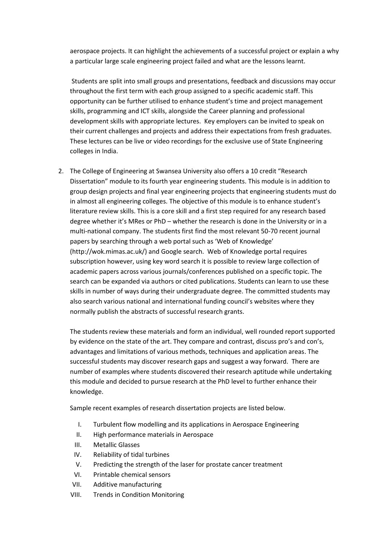aerospace projects. It can highlight the achievements of a successful project or explain a why a particular large scale engineering project failed and what are the lessons learnt.

Students are split into small groups and presentations, feedback and discussions may occur throughout the first term with each group assigned to a specific academic staff. This opportunity can be further utilised to enhance student's time and project management skills, programming and ICT skills, alongside the Career planning and professional development skills with appropriate lectures. Key employers can be invited to speak on their current challenges and projects and address their expectations from fresh graduates. These lectures can be live or video recordings for the exclusive use of State Engineering colleges in India.

2. The College of Engineering at Swansea University also offers a 10 credit "Research Dissertation" module to its fourth year engineering students. This module is in addition to group design projects and final year engineering projects that engineering students must do in almost all engineering colleges. The objective of this module is to enhance student's literature review skills. This is a core skill and a first step required for any research based degree whether it's MRes or PhD – whether the research is done in the University or in a multi-national company. The students first find the most relevant 50-70 recent journal papers by searching through a web portal such as 'Web of Knowledge' (http://wok.mimas.ac.uk/) and Google search. Web of Knowledge portal requires subscription however, using key word search it is possible to review large collection of academic papers across various journals/conferences published on a specific topic. The search can be expanded via authors or cited publications. Students can learn to use these skills in number of ways during their undergraduate degree. The committed students may also search various national and international funding council's websites where they normally publish the abstracts of successful research grants.

The students review these materials and form an individual, well rounded report supported by evidence on the state of the art. They compare and contrast, discuss pro's and con's, advantages and limitations of various methods, techniques and application areas. The successful students may discover research gaps and suggest a way forward. There are number of examples where students discovered their research aptitude while undertaking this module and decided to pursue research at the PhD level to further enhance their knowledge.

Sample recent examples of research dissertation projects are listed below.

- I. Turbulent flow modelling and its applications in Aerospace Engineering
- II. High performance materials in Aerospace
- III. Metallic Glasses
- IV. Reliability of tidal turbines
- V. Predicting the strength of the laser for prostate cancer treatment
- VI. Printable chemical sensors
- VII. Additive manufacturing
- VIII. Trends in Condition Monitoring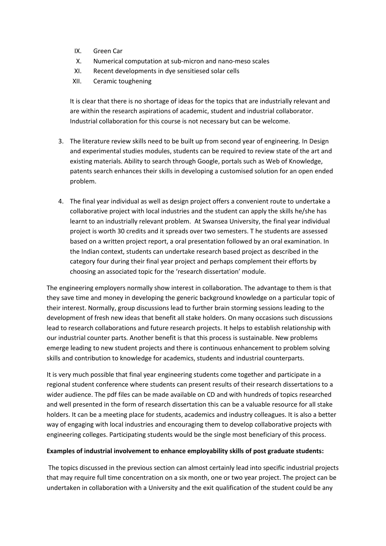- IX. Green Car
- X. Numerical computation at sub-micron and nano-meso scales
- XI. Recent developments in dye sensitiesed solar cells
- XII. Ceramic toughening

It is clear that there is no shortage of ideas for the topics that are industrially relevant and are within the research aspirations of academic, student and industrial collaborator. Industrial collaboration for this course is not necessary but can be welcome.

- 3. The literature review skills need to be built up from second year of engineering. In Design and experimental studies modules, students can be required to review state of the art and existing materials. Ability to search through Google, portals such as Web of Knowledge, patents search enhances their skills in developing a customised solution for an open ended problem.
- 4. The final year individual as well as design project offers a convenient route to undertake a collaborative project with local industries and the student can apply the skills he/she has learnt to an industrially relevant problem. At Swansea University, the final year individual project is worth 30 credits and it spreads over two semesters. T he students are assessed based on a written project report, a oral presentation followed by an oral examination. In the Indian context, students can undertake research based project as described in the category four during their final year project and perhaps complement their efforts by choosing an associated topic for the 'research dissertation' module.

The engineering employers normally show interest in collaboration. The advantage to them is that they save time and money in developing the generic background knowledge on a particular topic of their interest. Normally, group discussions lead to further brain storming sessions leading to the development of fresh new ideas that benefit all stake holders. On many occasions such discussions lead to research collaborations and future research projects. It helps to establish relationship with our industrial counter parts. Another benefit is that this process is sustainable. New problems emerge leading to new student projects and there is continuous enhancement to problem solving skills and contribution to knowledge for academics, students and industrial counterparts.

It is very much possible that final year engineering students come together and participate in a regional student conference where students can present results of their research dissertations to a wider audience. The pdf files can be made available on CD and with hundreds of topics researched and well presented in the form of research dissertation this can be a valuable resource for all stake holders. It can be a meeting place for students, academics and industry colleagues. It is also a better way of engaging with local industries and encouraging them to develop collaborative projects with engineering colleges. Participating students would be the single most beneficiary of this process.

### **Examples of industrial involvement to enhance employability skills of post graduate students:**

The topics discussed in the previous section can almost certainly lead into specific industrial projects that may require full time concentration on a six month, one or two year project. The project can be undertaken in collaboration with a University and the exit qualification of the student could be any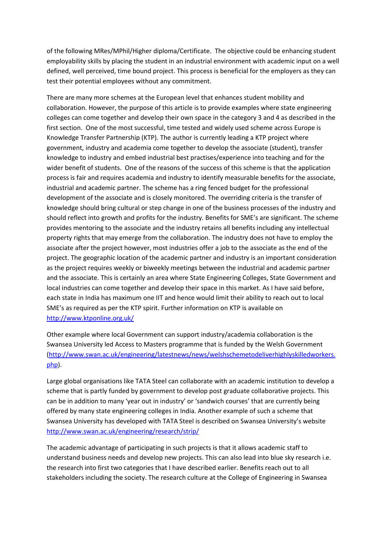of the following MRes/MPhil/Higher diploma/Certificate. The objective could be enhancing student employability skills by placing the student in an industrial environment with academic input on a well defined, well perceived, time bound project. This process is beneficial for the employers as they can test their potential employees without any commitment.

There are many more schemes at the European level that enhances student mobility and collaboration. However, the purpose of this article is to provide examples where state engineering colleges can come together and develop their own space in the category 3 and 4 as described in the first section. One of the most successful, time tested and widely used scheme across Europe is Knowledge Transfer Partnership (KTP). The author is currently leading a KTP project where government, industry and academia come together to develop the associate (student), transfer knowledge to industry and embed industrial best practises/experience into teaching and for the wider benefit of students. One of the reasons of the success of this scheme is that the application process is fair and requires academia and industry to identify measurable benefits for the associate, industrial and academic partner. The scheme has a ring fenced budget for the professional development of the associate and is closely monitored. The overriding criteria is the transfer of knowledge should bring cultural or step change in one of the business processes of the industry and should reflect into growth and profits for the industry. Benefits for SME's are significant. The scheme provides mentoring to the associate and the industry retains all benefits including any intellectual property rights that may emerge from the collaboration. The industry does not have to employ the associate after the project however, most industries offer a job to the associate as the end of the project. The geographic location of the academic partner and industry is an important consideration as the project requires weekly or biweekly meetings between the industrial and academic partner and the associate. This is certainly an area where State Engineering Colleges, State Government and local industries can come together and develop their space in this market. As I have said before, each state in India has maximum one IIT and hence would limit their ability to reach out to local SME's as required as per the KTP spirit. Further information on KTP is available on http://www.ktponline.org.uk/

Other example where local Government can support industry/academia collaboration is the Swansea University led Access to Masters programme that is funded by the Welsh Government (http://www.swan.ac.uk/engineering/latestnews/news/welshschemetodeliverhighlyskilledworkers. php).

Large global organisations like TATA Steel can collaborate with an academic institution to develop a scheme that is partly funded by government to develop post graduate collaborative projects. This can be in addition to many 'year out in industry' or 'sandwich courses' that are currently being offered by many state engineering colleges in India. Another example of such a scheme that Swansea University has developed with TATA Steel is described on Swansea University's website http://www.swan.ac.uk/engineering/research/strip/

The academic advantage of participating in such projects is that it allows academic staff to understand business needs and develop new projects. This can also lead into blue sky research i.e. the research into first two categories that I have described earlier. Benefits reach out to all stakeholders including the society. The research culture at the College of Engineering in Swansea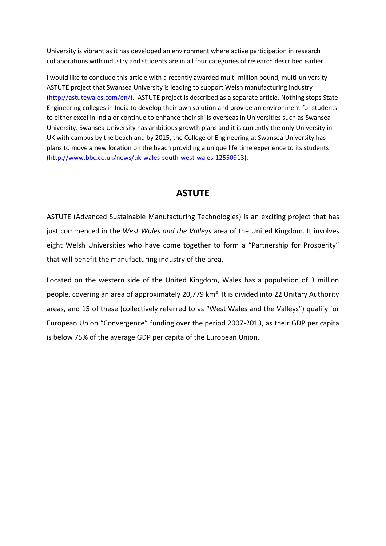University is vibrant as it has developed an environment where active participation in research collaborations with industry and students are in all four categories of research described earlier.

I would like to conclude this article with a recently awarded multi-million pound, multi-university ASTUTE project that Swansea University is leading to support Welsh manufacturing industry (http://astutewales.com/en/). ASTUTE project is described as a separate article. Nothing stops State Engineering colleges in India to develop their own solution and provide an environment for students to either excel in India or continue to enhance their skills overseas in Universities such as Swansea University. Swansea University has ambitious growth plans and it is currently the only University in UK with campus by the beach and by 2015, the College of Engineering at Swansea University has plans to move a new location on the beach providing a unique life time experience to its students (http://www.bbc.co.uk/news/uk-wales-south-west-wales-12550913).

# **ASTUTE**

ASTUTE (Advanced Sustainable Manufacturing Technologies) is an exciting project that has just commenced in the *West Wales and the Valleys* area of the United Kingdom. It involves eight Welsh Universities who have come together to form a "Partnership for Prosperity" that will benefit the manufacturing industry of the area.

Located on the western side of the United Kingdom, Wales has a population of 3 million people, covering an area of approximately 20,779 km². It is divided into 22 Unitary Authority areas, and 15 of these (collectively referred to as "West Wales and the Valleys") qualify for European Union "Convergence" funding over the period 2007-2013, as their GDP per capita is below 75% of the average GDP per capita of the European Union.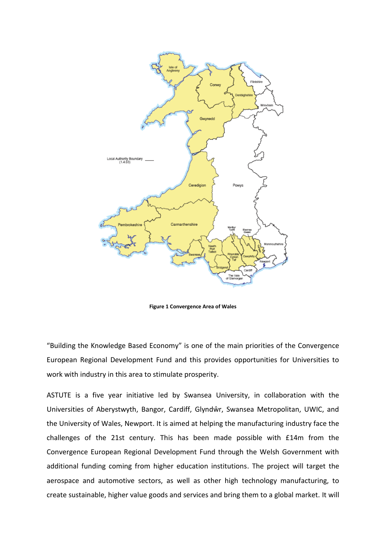

**Figure 1 Convergence Area of Wales**

"Building the Knowledge Based Economy" is one of the main priorities of the Convergence European Regional Development Fund and this provides opportunities for Universities to work with industry in this area to stimulate prosperity.

ASTUTE is a five year initiative led by Swansea University, in collaboration with the Universities of Aberystwyth, Bangor, Cardiff, Glyndŵr, Swansea Metropolitan, UWIC, and the University of Wales, Newport. It is aimed at helping the manufacturing industry face the challenges of the 21st century. This has been made possible with £14m from the Convergence European Regional Development Fund through the Welsh Government with additional funding coming from higher education institutions. The project will target the aerospace and automotive sectors, as well as other high technology manufacturing, to create sustainable, higher value goods and services and bring them to a global market. It will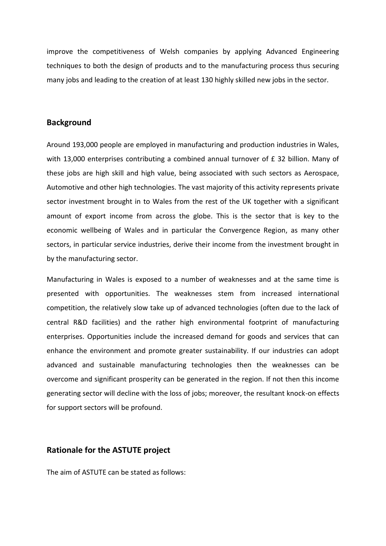improve the competitiveness of Welsh companies by applying Advanced Engineering techniques to both the design of products and to the manufacturing process thus securing many jobs and leading to the creation of at least 130 highly skilled new jobs in the sector.

### **Background**

Around 193,000 people are employed in manufacturing and production industries in Wales, with 13,000 enterprises contributing a combined annual turnover of £ 32 billion. Many of these jobs are high skill and high value, being associated with such sectors as Aerospace, Automotive and other high technologies. The vast majority of this activity represents private sector investment brought in to Wales from the rest of the UK together with a significant amount of export income from across the globe. This is the sector that is key to the economic wellbeing of Wales and in particular the Convergence Region, as many other sectors, in particular service industries, derive their income from the investment brought in by the manufacturing sector.

Manufacturing in Wales is exposed to a number of weaknesses and at the same time is presented with opportunities. The weaknesses stem from increased international competition, the relatively slow take up of advanced technologies (often due to the lack of central R&D facilities) and the rather high environmental footprint of manufacturing enterprises. Opportunities include the increased demand for goods and services that can enhance the environment and promote greater sustainability. If our industries can adopt advanced and sustainable manufacturing technologies then the weaknesses can be overcome and significant prosperity can be generated in the region. If not then this income generating sector will decline with the loss of jobs; moreover, the resultant knock-on effects for support sectors will be profound.

# **Rationale for the ASTUTE project**

The aim of ASTUTE can be stated as follows: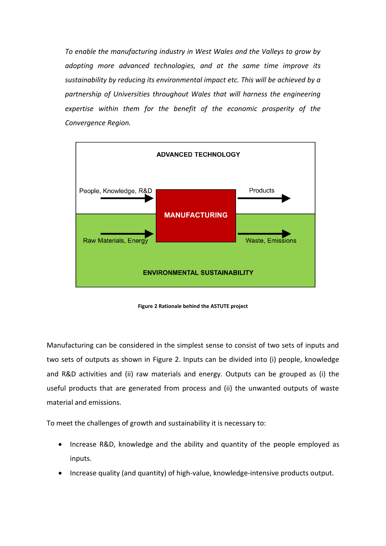*To enable the manufacturing industry in West Wales and the Valleys to grow by adopting more advanced technologies, and at the same time improve its sustainability by reducing its environmental impact etc. This will be achieved by a partnership of Universities throughout Wales that will harness the engineering expertise within them for the benefit of the economic prosperity of the Convergence Region.*



**Figure 2 Rationale behind the ASTUTE project**

Manufacturing can be considered in the simplest sense to consist of two sets of inputs and two sets of outputs as shown in Figure 2. Inputs can be divided into (i) people, knowledge and R&D activities and (ii) raw materials and energy. Outputs can be grouped as (i) the useful products that are generated from process and (ii) the unwanted outputs of waste material and emissions.

To meet the challenges of growth and sustainability it is necessary to:

- Increase R&D, knowledge and the ability and quantity of the people employed as inputs.
- Increase quality (and quantity) of high-value, knowledge-intensive products output.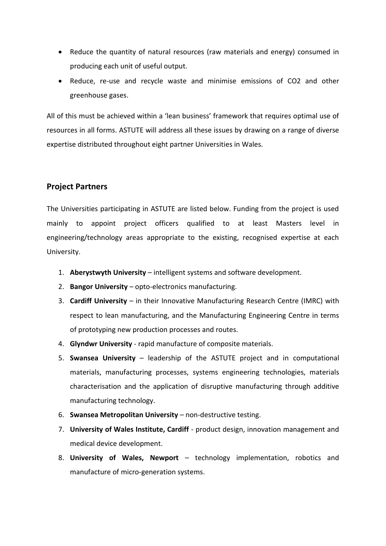- Reduce the quantity of natural resources (raw materials and energy) consumed in producing each unit of useful output.
- Reduce, re-use and recycle waste and minimise emissions of CO2 and other greenhouse gases.

All of this must be achieved within a 'lean business' framework that requires optimal use of resources in all forms. ASTUTE will address all these issues by drawing on a range of diverse expertise distributed throughout eight partner Universities in Wales.

# **Project Partners**

The Universities participating in ASTUTE are listed below. Funding from the project is used mainly to appoint project officers qualified to at least Masters level in engineering/technology areas appropriate to the existing, recognised expertise at each University.

- 1. **Aberystwyth University** intelligent systems and software development.
- 2. **Bangor University** opto-electronics manufacturing.
- 3. **Cardiff University** in their Innovative Manufacturing Research Centre (IMRC) with respect to lean manufacturing, and the Manufacturing Engineering Centre in terms of prototyping new production processes and routes.
- 4. **Glyndwr University** rapid manufacture of composite materials.
- 5. **Swansea University** leadership of the ASTUTE project and in computational materials, manufacturing processes, systems engineering technologies, materials characterisation and the application of disruptive manufacturing through additive manufacturing technology.
- 6. **Swansea Metropolitan University** non-destructive testing.
- 7. **University of Wales Institute, Cardiff** product design, innovation management and medical device development.
- 8. **University of Wales, Newport** technology implementation, robotics and manufacture of micro-generation systems.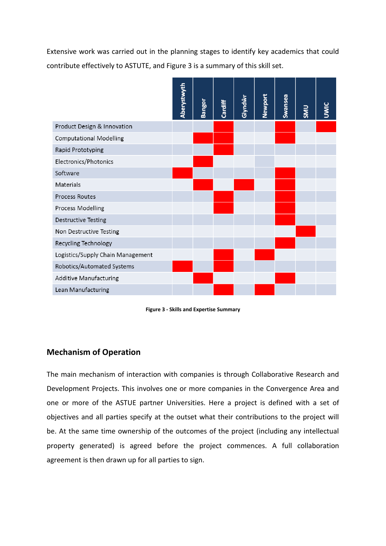Extensive work was carried out in the planning stages to identify key academics that could contribute effectively to ASTUTE, and Figure 3 is a summary of this skill set.



**Figure 3 - Skills and Expertise Summary**

# **Mechanism of Operation**

The main mechanism of interaction with companies is through Collaborative Research and Development Projects. This involves one or more companies in the Convergence Area and one or more of the ASTUE partner Universities. Here a project is defined with a set of objectives and all parties specify at the outset what their contributions to the project will be. At the same time ownership of the outcomes of the project (including any intellectual property generated) is agreed before the project commences. A full collaboration agreement is then drawn up for all parties to sign.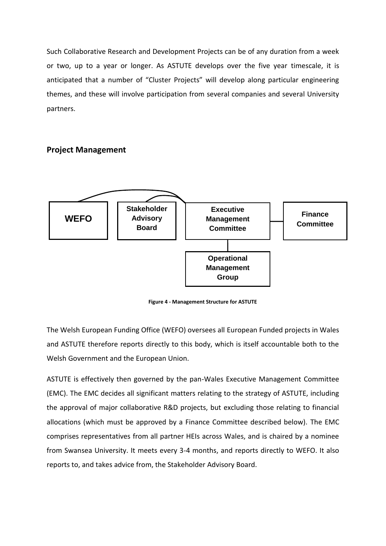Such Collaborative Research and Development Projects can be of any duration from a week or two, up to a year or longer. As ASTUTE develops over the five year timescale, it is anticipated that a number of "Cluster Projects" will develop along particular engineering themes, and these will involve participation from several companies and several University partners.

# **Project Management**



**Figure 4 - Management Structure for ASTUTE**

The Welsh European Funding Office (WEFO) oversees all European Funded projects in Wales and ASTUTE therefore reports directly to this body, which is itself accountable both to the Welsh Government and the European Union.

ASTUTE is effectively then governed by the pan-Wales Executive Management Committee (EMC). The EMC decides all significant matters relating to the strategy of ASTUTE, including the approval of major collaborative R&D projects, but excluding those relating to financial allocations (which must be approved by a Finance Committee described below). The EMC comprises representatives from all partner HEIs across Wales, and is chaired by a nominee from Swansea University. It meets every 3-4 months, and reports directly to WEFO. It also reports to, and takes advice from, the Stakeholder Advisory Board.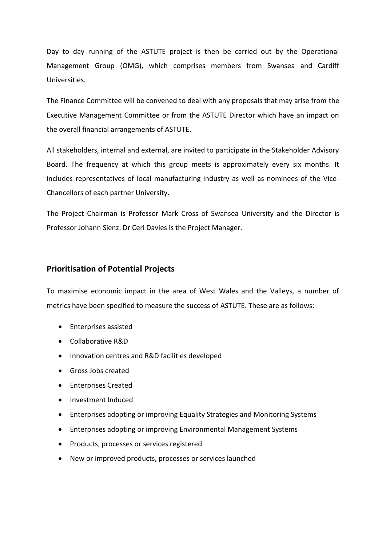Day to day running of the ASTUTE project is then be carried out by the Operational Management Group (OMG), which comprises members from Swansea and Cardiff Universities.

The Finance Committee will be convened to deal with any proposals that may arise from the Executive Management Committee or from the ASTUTE Director which have an impact on the overall financial arrangements of ASTUTE.

All stakeholders, internal and external, are invited to participate in the Stakeholder Advisory Board. The frequency at which this group meets is approximately every six months. It includes representatives of local manufacturing industry as well as nominees of the Vice-Chancellors of each partner University.

The Project Chairman is Professor Mark Cross of Swansea University and the Director is Professor Johann Sienz. Dr Ceri Davies is the Project Manager.

### **Prioritisation of Potential Projects**

To maximise economic impact in the area of West Wales and the Valleys, a number of metrics have been specified to measure the success of ASTUTE. These are as follows:

- Enterprises assisted
- Collaborative R&D
- Innovation centres and R&D facilities developed
- Gross Jobs created
- **•** Enterprises Created
- Investment Induced
- Enterprises adopting or improving Equality Strategies and Monitoring Systems
- Enterprises adopting or improving Environmental Management Systems
- Products, processes or services registered
- New or improved products, processes or services launched